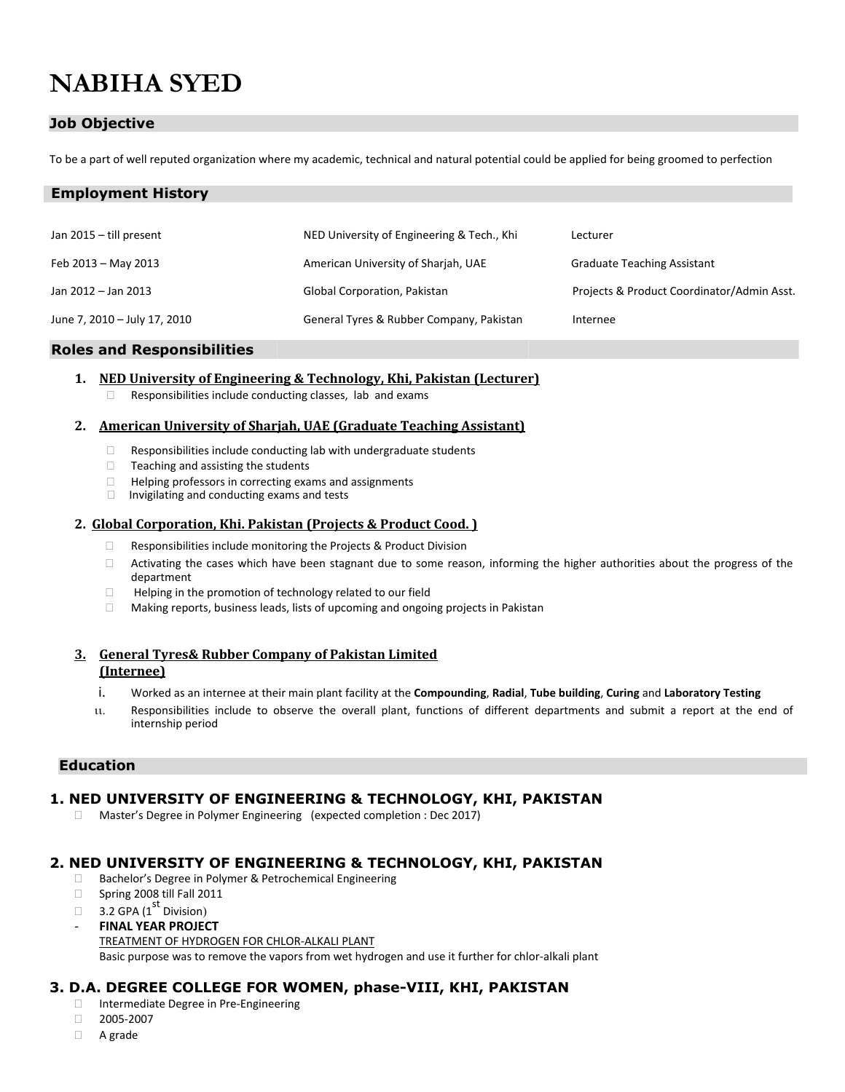# **NABIHA SYED**

**Employment History**

# **Job Objective**

To be a part of well reputed organization where my academic, technical and natural potential could be applied for being groomed to perfection

| Jan $2015 -$ till present    | NED University of Engineering & Tech., Khi | Lecturer                                   |
|------------------------------|--------------------------------------------|--------------------------------------------|
| Feb 2013 - May 2013          | American University of Sharjah, UAE        | <b>Graduate Teaching Assistant</b>         |
| Jan 2012 - Jan 2013          | Global Corporation, Pakistan               | Projects & Product Coordinator/Admin Asst. |
| June 7, 2010 - July 17, 2010 | General Tyres & Rubber Company, Pakistan   | Internee                                   |

#### **Roles and Responsibilities**

#### **1. NED University of Engineering & Technology, Khi, Pakistan (Lecturer)**

 $\Box$  Responsibilities include conducting classes, lab and exams

#### **2. American University of Sharjah, UAE (Graduate Teaching Assistant)**

- $\Box$  Responsibilities include conducting lab with undergraduate students
- $\Box$  Teaching and assisting the students
- $\Box$  Helping professors in correcting exams and assignments  $\Box$  Invigilating and conducting exams and tests
- Invigilating and conducting exams and tests

#### **2. Global Corporation, Khi. Pakistan (Projects & Product Cood. )**

- $\Box$  Responsibilities include monitoring the Projects & Product Division
- $\Box$  Activating the cases which have been stagnant due to some reason, informing the higher authorities about the progress of the department
- $\Box$  Helping in the promotion of technology related to our field
- □ Making reports, business leads, lists of upcoming and ongoing projects in Pakistan

## **3. General Tyres& Rubber Company of Pakistan Limited (Internee)**

- i. Worked as an internee at their main plant facility at the **Compounding**, **Radial**, **Tube building**, **Curing** and **Laboratory Testing**
- Responsibilities include to observe the overall plant, functions of different departments and submit a report at the end of internship period

# **Education**

## **1. NED UNIVERSITY OF ENGINEERING & TECHNOLOGY, KHI, PAKISTAN**

Master's Degree in Polymer Engineering (expected completion : Dec 2017)

# **2. NED UNIVERSITY OF ENGINEERING & TECHNOLOGY, KHI, PAKISTAN**

- □ Bachelor's Degree in Polymer & Petrochemical Engineering
- Spring 2008 till Fall 2011
- $\Box$  3.2 GPA (1<sup>st</sup> Division)
- **FINAL YEAR PROJECT**  TREATMENT OF HYDROGEN FOR CHLOR-ALKALI PLANT Basic purpose was to remove the vapors from wet hydrogen and use it further for chlor-alkali plant

# **3. D.A. DEGREE COLLEGE FOR WOMEN, phase-VIII, KHI, PAKISTAN**

- □ Intermediate Degree in Pre-Engineering
- 2005-2007
- A grade